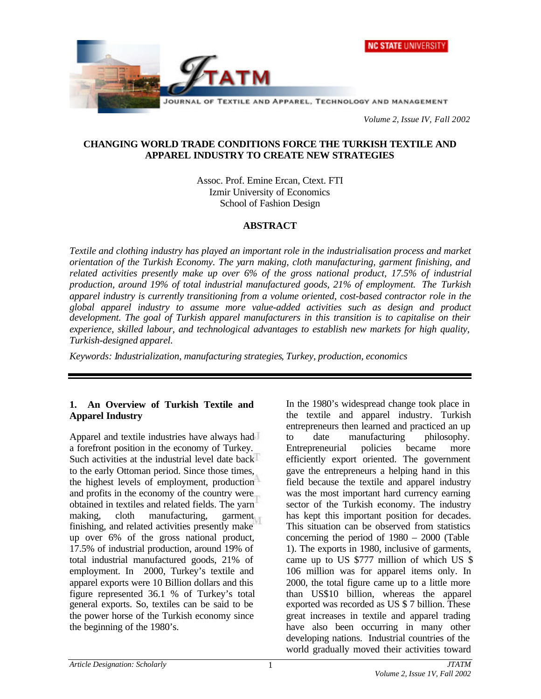



*Volume 2, Issue IV, Fall 2002*

# **CHANGING WORLD TRADE CONDITIONS FORCE THE TURKISH TEXTILE AND APPAREL INDUSTRY TO CREATE NEW STRATEGIES**

Assoc. Prof. Emine Ercan, Ctext. FTI Izmir University of Economics School of Fashion Design

# **ABSTRACT**

*Textile and clothing industry has played an important role in the industrialisation process and market orientation of the Turkish Economy. The yarn making, cloth manufacturing, garment finishing, and related activities presently make up over 6% of the gross national product, 17.5% of industrial production, around 19% of total industrial manufactured goods, 21% of employment. The Turkish apparel industry is currently transitioning from a volume oriented, cost-based contractor role in the global apparel industry to assume more value-added activities such as design and product development. The goal of Turkish apparel manufacturers in this transition is to capitalise on their experience, skilled labour, and technological advantages to establish new markets for high quality, Turkish-designed apparel.*

*Keywords: Industrialization, manufacturing strategies, Turkey, production, economics*

# **1. An Overview of Turkish Textile and Apparel Industry**

Apparel and textile industries have always had a forefront position in the economy of Turkey. Such activities at the industrial level date back to the early Ottoman period. Since those times, the highest levels of employment, production and profits in the economy of the country were obtained in textiles and related fields. The yarn making, cloth manufacturing, garment finishing, and related activities presently make up over 6% of the gross national product, 17.5% of industrial production, around 19% of total industrial manufactured goods, 21% of employment. In 2000, Turkey's textile and apparel exports were 10 Billion dollars and this figure represented 36.1 % of Turkey's total general exports. So, textiles can be said to be the power horse of the Turkish economy since the beginning of the 1980's.

In the 1980's widespread change took place in the textile and apparel industry. Turkish entrepreneurs then learned and practiced an up to date manufacturing philosophy. Entrepreneurial policies became more efficiently export oriented. The government gave the entrepreneurs a helping hand in this field because the textile and apparel industry was the most important hard currency earning sector of the Turkish economy. The industry has kept this important position for decades. This situation can be observed from statistics concerning the period of 1980 – 2000 (Table 1). The exports in 1980, inclusive of garments, came up to US \$777 million of which US \$ 106 million was for apparel items only. In 2000, the total figure came up to a little more than US\$10 billion, whereas the apparel exported was recorded as US \$ 7 billion. These great increases in textile and apparel trading have also been occurring in many other developing nations. Industrial countries of the world gradually moved their activities toward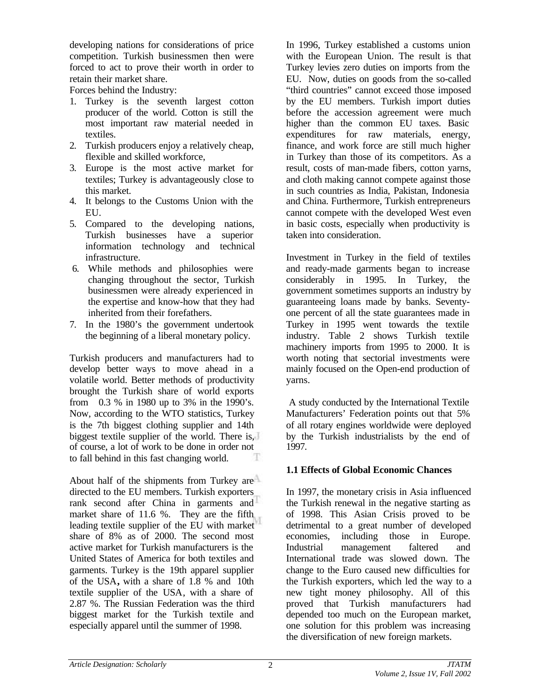developing nations for considerations of price competition. Turkish businessmen then were forced to act to prove their worth in order to retain their market share.

Forces behind the Industry:

- 1. Turkey is the seventh largest cotton producer of the world. Cotton is still the most important raw material needed in textiles.
- 2. Turkish producers enjoy a relatively cheap, flexible and skilled workforce,
- 3. Europe is the most active market for textiles; Turkey is advantageously close to this market.
- 4. It belongs to the Customs Union with the EU.
- 5. Compared to the developing nations, Turkish businesses have a superior information technology and technical infrastructure.
- 6. While methods and philosophies were changing throughout the sector, Turkish businessmen were already experienced in the expertise and know-how that they had inherited from their forefathers.
- 7. In the 1980's the government undertook the beginning of a liberal monetary policy.

Turkish producers and manufacturers had to develop better ways to move ahead in a volatile world. Better methods of productivity brought the Turkish share of world exports from 0.3 % in 1980 up to 3% in the 1990's. Now, according to the WTO statistics, Turkey is the 7th biggest clothing supplier and 14th biggest textile supplier of the world. There is, of course, a lot of work to be done in order not to fall behind in this fast changing world.

About half of the shipments from Turkey are directed to the EU members. Turkish exporters rank second after China in garments and market share of 11.6 %. They are the fifth leading textile supplier of the EU with market share of 8% as of 2000. The second most active market for Turkish manufacturers is the United States of America for both textiles and garments. Turkey is the 19th apparel supplier of the USA**,** with a share of 1.8 % and 10th textile supplier of the USA, with a share of 2.87 %. The Russian Federation was the third biggest market for the Turkish textile and especially apparel until the summer of 1998.

In 1996, Turkey established a customs union with the European Union. The result is that Turkey levies zero duties on imports from the EU. Now, duties on goods from the so-called "third countries" cannot exceed those imposed by the EU members. Turkish import duties before the accession agreement were much higher than the common EU taxes. Basic expenditures for raw materials, energy, finance, and work force are still much higher in Turkey than those of its competitors. As a result, costs of man-made fibers, cotton yarns, and cloth making cannot compete against those in such countries as India, Pakistan, Indonesia and China. Furthermore, Turkish entrepreneurs cannot compete with the developed West even in basic costs, especially when productivity is taken into consideration.

Investment in Turkey in the field of textiles and ready-made garments began to increase considerably in 1995. In Turkey, the government sometimes supports an industry by guaranteeing loans made by banks. Seventyone percent of all the state guarantees made in Turkey in 1995 went towards the textile industry. Table 2 shows Turkish textile machinery imports from 1995 to 2000. It is worth noting that sectorial investments were mainly focused on the Open-end production of yarns.

 A study conducted by the International Textile Manufacturers' Federation points out that 5% of all rotary engines worldwide were deployed by the Turkish industrialists by the end of 1997.

#### **1.1 Effects of Global Economic Chances**

In 1997, the monetary crisis in Asia influenced the Turkish renewal in the negative starting as of 1998. This Asian Crisis proved to be detrimental to a great number of developed economies, including those in Europe. Industrial management faltered and International trade was slowed down. The change to the Euro caused new difficulties for the Turkish exporters, which led the way to a new tight money philosophy. All of this proved that Turkish manufacturers had depended too much on the European market, one solution for this problem was increasing the diversification of new foreign markets.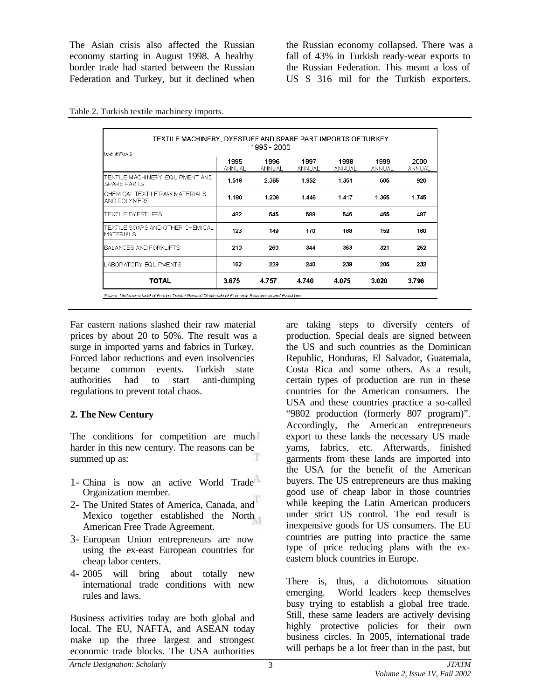The Asian crisis also affected the Russian economy starting in August 1998. A healthy border trade had started between the Russian Federation and Turkey, but it declined when

the Russian economy collapsed. There was a fall of 43% in Turkish ready-wear exports to the Russian Federation. This meant a loss of US \$ 316 mil for the Turkish exporters.

| 1995 - 2000<br>Unit: Million \$                      |                |                |                |                |                |                |
|------------------------------------------------------|----------------|----------------|----------------|----------------|----------------|----------------|
|                                                      | 1995<br>ANNUAL | 1996<br>ANNUAL | 1997<br>ANNUAL | 1998<br>ANNUAL | 1999<br>ANNUAL | 2000<br>ANNUAL |
| TEXTILE MACHINERY, EQUIPMENT AND<br>SPARE PARTS      | 1.518          | 2.365          | 1.952          | 1351           | 505            | 920            |
| CHEMICAL TEXTILE RAW MATERIALS<br>AND POLYMERS       | 1.180          | 1.208          | 1.446          | 1.417          | 1.365          | 1.745          |
| TEXTILE DYESTUFFS                                    | 482            | 545            | 588            | 546            | 465            | 487            |
| TEXTILE SOAPS AND OTHER CHEMICAL<br><b>MATERIALS</b> | 123            | 149            | 170            | 168            | 159            | 160            |
| BALANCES AND FORKLIFTS                               | 210            | 260            | 344            | 353            | 321            | 252            |
| LABORATORY EQUIPMENTS                                | 162            | 229            | 240            | 239            | 205            | 232            |
| <b>TOTAL</b>                                         | 3.675          | 4.757          | 4.740          | 4.075          | 3.020          | 3.796          |

Table 2. Turkish textile machinery imports.

Far eastern nations slashed their raw material prices by about 20 to 50%. The result was a surge in imported yarns and fabrics in Turkey. Forced labor reductions and even insolvencies became common events. Turkish state authorities had to start anti-dumping regulations to prevent total chaos.

#### **2. The New Century**

The conditions for competition are much harder in this new century. The reasons can be summed up as:

- 1- China is now an active World Trade Organization member.
- 2- The United States of America, Canada, and Mexico together established the North American Free Trade Agreement.
- 3- European Union entrepreneurs are now using the ex-east European countries for cheap labor centers.
- 4- 2005 will bring about totally new international trade conditions with new rules and laws.

Business activities today are both global and local. The EU, NAFTA, and ASEAN today make up the three largest and strongest economic trade blocks. The USA authorities

are taking steps to diversify centers of production. Special deals are signed between the US and such countries as the Dominican Republic, Honduras, El Salvador, Guatemala, Costa Rica and some others. As a result, certain types of production are run in these countries for the American consumers. The USA and these countries practice a so-called "9802 production (formerly 807 program)". Accordingly, the American entrepreneurs export to these lands the necessary US made yarns, fabrics, etc. Afterwards, finished garments from these lands are imported into the USA for the benefit of the American buyers. The US entrepreneurs are thus making good use of cheap labor in those countries while keeping the Latin American producers under strict US control. The end result is inexpensive goods for US consumers. The EU countries are putting into practice the same type of price reducing plans with the exeastern block countries in Europe.

There is, thus, a dichotomous situation emerging. World leaders keep themselves busy trying to establish a global free trade. Still, these same leaders are actively devising highly protective policies for their own business circles. In 2005, international trade will perhaps be a lot freer than in the past, but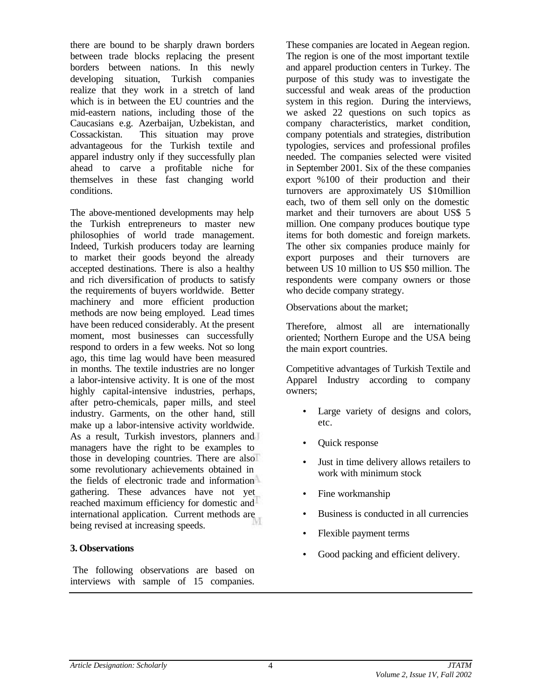there are bound to be sharply drawn borders between trade blocks replacing the present borders between nations. In this newly developing situation, Turkish companies realize that they work in a stretch of land which is in between the EU countries and the mid-eastern nations, including those of the Caucasians e.g. Azerbaijan, Uzbekistan, and Cossackistan. This situation may prove advantageous for the Turkish textile and apparel industry only if they successfully plan ahead to carve a profitable niche for themselves in these fast changing world conditions.

The above-mentioned developments may help the Turkish entrepreneurs to master new philosophies of world trade management. Indeed, Turkish producers today are learning to market their goods beyond the already accepted destinations. There is also a healthy and rich diversification of products to satisfy the requirements of buyers worldwide. Better machinery and more efficient production methods are now being employed. Lead times have been reduced considerably. At the present moment, most businesses can successfully respond to orders in a few weeks. Not so long ago, this time lag would have been measured in months. The textile industries are no longer a labor-intensive activity. It is one of the most highly capital-intensive industries, perhaps, after petro-chemicals, paper mills, and steel industry. Garments, on the other hand, still make up a labor-intensive activity worldwide. As a result, Turkish investors, planners and managers have the right to be examples to those in developing countries. There are also some revolutionary achievements obtained in the fields of electronic trade and information gathering. These advances have not yet reached maximum efficiency for domestic and international application. Current methods are being revised at increasing speeds.

#### **3. Observations**

 The following observations are based on interviews with sample of 15 companies.

These companies are located in Aegean region. The region is one of the most important textile and apparel production centers in Turkey. The purpose of this study was to investigate the successful and weak areas of the production system in this region. During the interviews, we asked 22 questions on such topics as company characteristics, market condition, company potentials and strategies, distribution typologies, services and professional profiles needed. The companies selected were visited in September 2001. Six of the these companies export %100 of their production and their turnovers are approximately US \$10million each, two of them sell only on the domestic market and their turnovers are about US\$ 5 million. One company produces boutique type items for both domestic and foreign markets. The other six companies produce mainly for export purposes and their turnovers are between US 10 million to US \$50 million. The respondents were company owners or those who decide company strategy.

Observations about the market;

Therefore, almost all are internationally oriented; Northern Europe and the USA being the main export countries.

Competitive advantages of Turkish Textile and Apparel Industry according to company owners;

- Large variety of designs and colors, etc.
- Quick response
- Just in time delivery allows retailers to work with minimum stock
- Fine workmanship
- Business is conducted in all currencies
- Flexible payment terms
- Good packing and efficient delivery.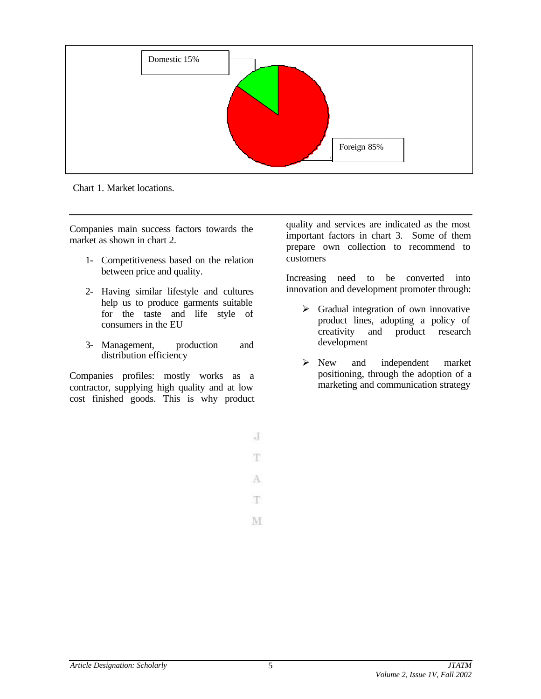

Chart 1. Market locations.

Companies main success factors towards the market as shown in chart 2.

- 1- Competitiveness based on the relation between price and quality.
- 2- Having similar lifestyle and cultures help us to produce garments suitable for the taste and life style of consumers in the EU
- 3- Management, production and distribution efficiency

Companies profiles: mostly works as a contractor, supplying high quality and at low cost finished goods. This is why product quality and services are indicated as the most important factors in chart 3. Some of them prepare own collection to recommend to customers

Increasing need to be converted into innovation and development promoter through:

- $\triangleright$  Gradual integration of own innovative product lines, adopting a policy of creativity and product research development
- $\triangleright$  New and independent market positioning, through the adoption of a marketing and communication strategy

 $\overline{d}$ 

T.

A

T.

M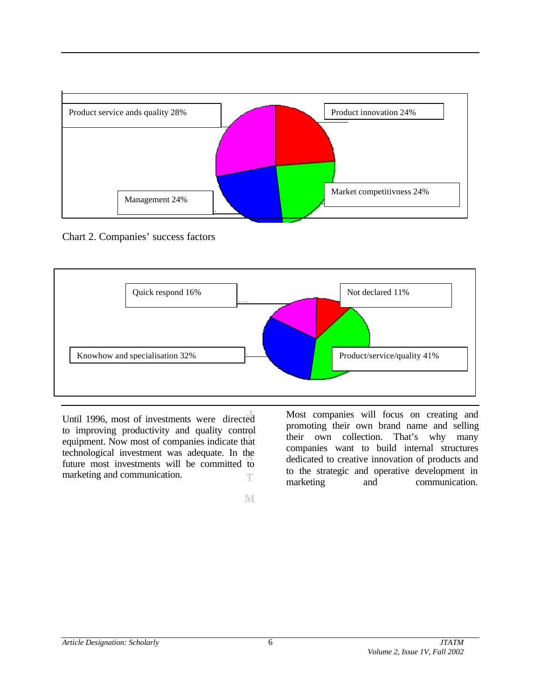

Chart 2. Companies' success factors



Until 1996, most of investments were directed to improving productivity and quality control equipment. Now most of companies indicate that technological investment was adequate. In the future most investments will be committed to marketing and communication. Ŧ

Most companies will focus on creating and promoting their own brand name and selling their own collection. That's why many companies want to build internal structures dedicated to creative innovation of products and to the strategic and operative development in marketing and communication.

M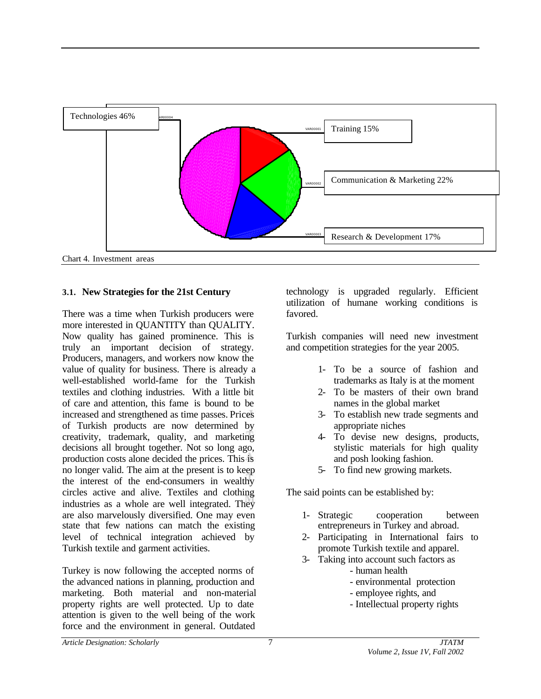

#### **3.1. New Strategies for the 21st Century**

There was a time when Turkish producers were more interested in QUANTITY than QUALITY. Now quality has gained prominence. This is truly an important decision of strategy. Producers, managers, and workers now know the value of quality for business. There is already a well-established world-fame for the Turkish textiles and clothing industries. With a little bit of care and attention, this fame is bound to be increased and strengthened as time passes. Prices of Turkish products are now determined by creativity, trademark, quality, and marketing decisions all brought together. Not so long ago, production costs alone decided the prices. This is no longer valid. The aim at the present is to keep the interest of the end-consumers in wealthy circles active and alive. Textiles and clothing industries as a whole are well integrated. They are also marvelously diversified. One may even state that few nations can match the existing level of technical integration achieved by Turkish textile and garment activities.

Turkey is now following the accepted norms of the advanced nations in planning, production and marketing. Both material and non-material property rights are well protected. Up to date attention is given to the well being of the work force and the environment in general. Outdated

technology is upgraded regularly. Efficient utilization of humane working conditions is favored.

Turkish companies will need new investment and competition strategies for the year 2005.

- 1- To be a source of fashion and trademarks as Italy is at the moment
- 2- To be masters of their own brand names in the global market
- 3- To establish new trade segments and appropriate niches
- 4- To devise new designs, products, stylistic materials for high quality and posh looking fashion.
- 5- To find new growing markets.

The said points can be established by:

- 1- Strategic cooperation between entrepreneurs in Turkey and abroad.
- 2- Participating in International fairs to promote Turkish textile and apparel.
- 3- Taking into account such factors as
	- human health
	- environmental protection
	- employee rights, and
	- Intellectual property rights